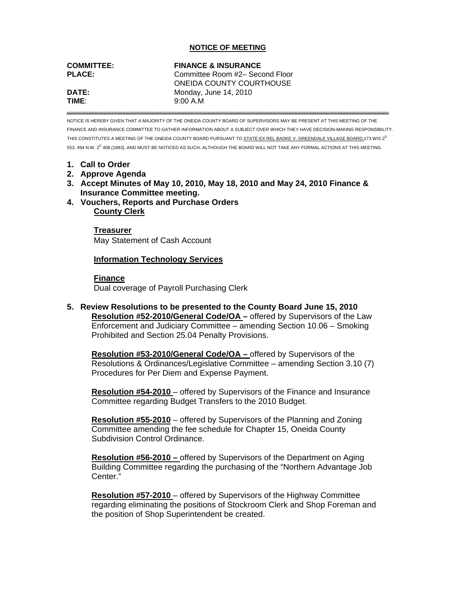## **NOTICE OF MEETING**

| <b>COMMITTEE:</b> | <b>FINANCE &amp; INSURANCE</b>  |
|-------------------|---------------------------------|
| <b>PLACE:</b>     | Committee Room #2– Second Floor |
|                   | ONEIDA COUNTY COURTHOUSE        |
| DATE:             | Monday, June 14, 2010           |
| TIME <sup>.</sup> | 9:00A.M                         |

NOTICE IS HEREBY GIVEN THAT A MAJORITY OF THE ONEIDA COUNTY BOARD OF SUPERVISORS MAY BE PRESENT AT THIS MEETING OF THE FINANCE AND INSURANCE COMMITTEE TO GATHER INFORMATION ABOUT A SUBJECT OVER WHICH THEY HAVE DECISION-MAKING RESPONSIBILITY. THIS CONSTITUTES A MEETING OF THE ONEIDA COUNTY BOARD PURSUANT TO STATE EX REL BADKE V. GREENDALE VILLAGE BOARD.173 WIS 2<sup>D</sup> 553, 494 N.W. 2<sup>D</sup> 408 (1993), AND MUST BE NOTICED AS SUCH, ALTHOUGH THE BOARD WILL NOT TAKE ANY FORMAL ACTIONS AT THIS MEETING.

- **1. Call to Order**
- **2. Approve Agenda**
- **3. Accept Minutes of May 10, 2010, May 18, 2010 and May 24, 2010 Finance & Insurance Committee meeting.**
- **4. Vouchers, Reports and Purchase Orders County Clerk**

 **Treasurer** May Statement of Cash Account

## **Information Technology Services**

## **Finance**

Dual coverage of Payroll Purchasing Clerk

**5. Review Resolutions to be presented to the County Board June 15, 2010 Resolution #52-2010/General Code/OA –** offered by Supervisors of the Law Enforcement and Judiciary Committee – amending Section 10.06 – Smoking Prohibited and Section 25.04 Penalty Provisions.

**Resolution #53-2010/General Code/OA –** offered by Supervisors of the Resolutions & Ordinances/Legislative Committee – amending Section 3.10 (7) Procedures for Per Diem and Expense Payment.

**Resolution #54-2010** – offered by Supervisors of the Finance and Insurance Committee regarding Budget Transfers to the 2010 Budget.

**Resolution #55-2010** – offered by Supervisors of the Planning and Zoning Committee amending the fee schedule for Chapter 15, Oneida County Subdivision Control Ordinance.

**Resolution #56-2010 –** offered by Supervisors of the Department on Aging Building Committee regarding the purchasing of the "Northern Advantage Job Center."

**Resolution #57-2010** – offered by Supervisors of the Highway Committee regarding eliminating the positions of Stockroom Clerk and Shop Foreman and the position of Shop Superintendent be created.